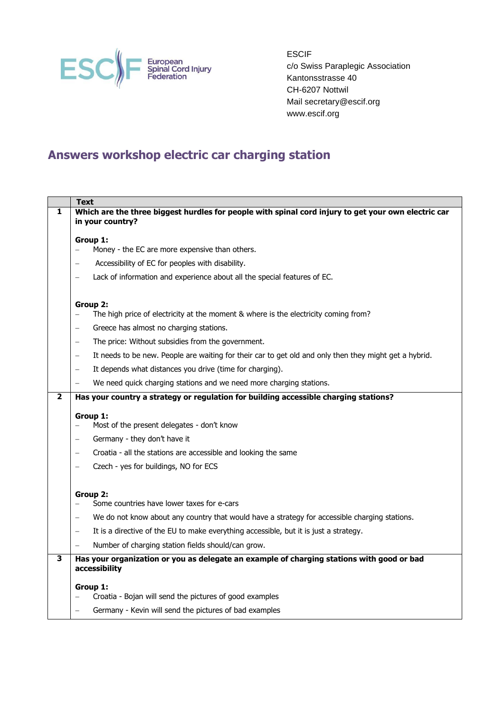

ESCIF c/o Swiss Paraplegic Association Kantonsstrasse 40 CH-6207 Nottwil Mail secretary@escif.org www.escif.org

## **Answers workshop electric car charging station**

|   | <b>Text</b>                                                                                                                 |
|---|-----------------------------------------------------------------------------------------------------------------------------|
| 1 | Which are the three biggest hurdles for people with spinal cord injury to get your own electric car<br>in your country?     |
|   | Group 1:                                                                                                                    |
|   | Money - the EC are more expensive than others.                                                                              |
|   | Accessibility of EC for peoples with disability.                                                                            |
|   | Lack of information and experience about all the special features of EC.                                                    |
|   | Group 2:                                                                                                                    |
|   | The high price of electricity at the moment & where is the electricity coming from?                                         |
|   | Greece has almost no charging stations.<br>$\overline{\phantom{0}}$                                                         |
|   | The price: Without subsidies from the government.<br>$\qquad \qquad -$                                                      |
|   | It needs to be new. People are waiting for their car to get old and only then they might get a hybrid.<br>$\qquad \qquad -$ |
|   | It depends what distances you drive (time for charging).<br>$\overline{\phantom{0}}$                                        |
|   | We need quick charging stations and we need more charging stations.                                                         |
| 2 | Has your country a strategy or regulation for building accessible charging stations?                                        |
|   | Group 1:                                                                                                                    |
|   | Most of the present delegates - don't know                                                                                  |
|   | Germany - they don't have it                                                                                                |
|   | Croatia - all the stations are accessible and looking the same                                                              |
|   | Czech - yes for buildings, NO for ECS                                                                                       |
|   | Group 2:                                                                                                                    |
|   | Some countries have lower taxes for e-cars                                                                                  |
|   | We do not know about any country that would have a strategy for accessible charging stations.                               |
|   | It is a directive of the EU to make everything accessible, but it is just a strategy.                                       |
|   | Number of charging station fields should/can grow.                                                                          |
| 3 | Has your organization or you as delegate an example of charging stations with good or bad<br>accessibility                  |
|   | Group 1:                                                                                                                    |
|   | Croatia - Bojan will send the pictures of good examples                                                                     |
|   | Germany - Kevin will send the pictures of bad examples                                                                      |